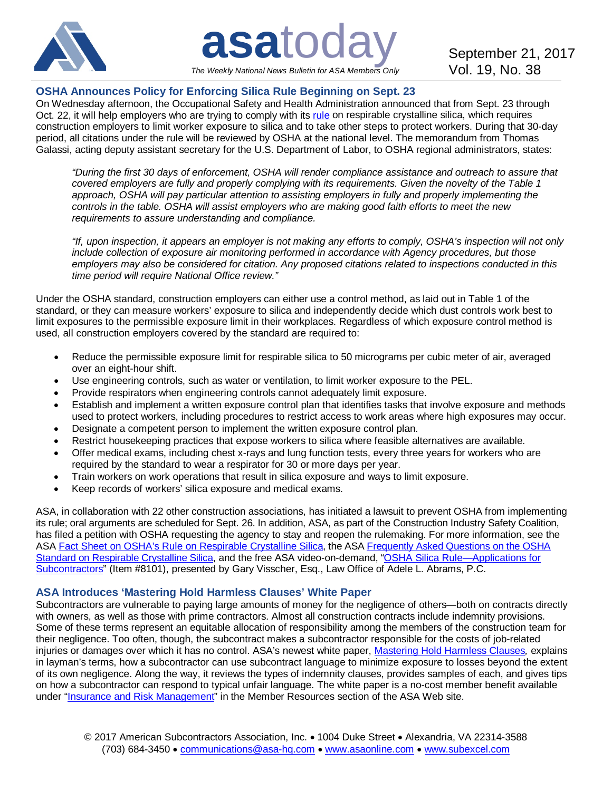

**asatoday** September 21, 2017 *The Weekly National News Bulletin for ASA Members Only*

# **OSHA Announces Policy for Enforcing Silica Rule Beginning on Sept. 23**

On Wednesday afternoon, the Occupational Safety and Health Administration announced that from Sept. 23 through Oct. 22, it will help employers who are trying to comply with its [rule](http://bit.ly/1WZOnFf) on respirable crystalline silica, which requires construction employers to limit worker exposure to silica and to take other steps to protect workers. During that 30-day period, all citations under the rule will be reviewed by OSHA at the national level. The memorandum from Thomas Galassi, acting deputy assistant secretary for the U.S. Department of Labor, to OSHA regional administrators, states:

*"During the first 30 days of enforcement, OSHA will render compliance assistance and outreach to assure that covered employers are fully and properly complying with its requirements. Given the novelty of the Table 1 approach, OSHA will pay particular attention to assisting employers in fully and properly implementing the controls in the table. OSHA will assist employers who are making good faith efforts to meet the new requirements to assure understanding and compliance.*

*"If, upon inspection, it appears an employer is not making any efforts to comply, OSHA's inspection will not only include collection of exposure air monitoring performed in accordance with Agency procedures, but those employers may also be considered for citation. Any proposed citations related to inspections conducted in this time period will require National Office review."*

Under the OSHA standard, construction employers can either use a control method, as laid out in Table 1 of the standard, or they can measure workers' exposure to silica and independently decide which dust controls work best to limit exposures to the permissible exposure limit in their workplaces. Regardless of which exposure control method is used, all construction employers covered by the standard are required to:

- Reduce the permissible exposure limit for respirable silica to 50 micrograms per cubic meter of air, averaged over an eight-hour shift.
- Use engineering controls, such as water or ventilation, to limit worker exposure to the PEL.
- Provide respirators when engineering controls cannot adequately limit exposure.
- Establish and implement a written exposure control plan that identifies tasks that involve exposure and methods used to protect workers, including procedures to restrict access to work areas where high exposures may occur.
- Designate a competent person to implement the written exposure control plan.
- Restrict housekeeping practices that expose workers to silica where feasible alternatives are available.
- Offer medical exams, including chest x-rays and lung function tests, every three years for workers who are required by the standard to wear a respirator for 30 or more days per year.
- Train workers on work operations that result in silica exposure and ways to limit exposure.
- Keep records of workers' silica exposure and medical exams.

ASA, in collaboration with 22 other construction associations, has initiated a lawsuit to prevent OSHA from implementing its rule; oral arguments are scheduled for Sept. 26. In addition, ASA, as part of the Construction Industry Safety Coalition, has filed a petition with OSHA requesting the agency to stay and reopen the rulemaking. For more information, see the ASA [Fact Sheet on OSHA's Rule on Respirable Crystalline Silica,](http://bit.ly/1MBCrJp) the ASA [Frequently Asked Questions on the OSHA](http://bit.ly/1MB0UOX)  [Standard on Respirable Crystalline Silica,](http://bit.ly/1MB0UOX) and the free ASA video-on-demand, ["OSHA Silica Rule—Applications for](http://bit.ly/2lmJfTq)  [Subcontractors"](http://bit.ly/2lmJfTq) (Item #8101), presented by Gary Visscher, Esq., Law Office of Adele L. Abrams, P.C.

## **ASA Introduces 'Mastering Hold Harmless Clauses' White Paper**

Subcontractors are vulnerable to paying large amounts of money for the negligence of others—both on contracts directly with owners, as well as those with prime contractors. Almost all construction contracts include indemnity provisions. Some of these terms represent an equitable allocation of responsibility among the members of the construction team for their negligence. Too often, though, the subcontract makes a subcontractor responsible for the costs of job-related injuries or damages over which it has no control. ASA's newest white paper, [Mastering Hold Harmless Clauses](http://bit.ly/2wDWEa7)*,* explains in layman's terms, how a subcontractor can use subcontract language to minimize exposure to losses beyond the extent of its own negligence. Along the way, it reviews the types of indemnity clauses, provides samples of each, and gives tips on how a subcontractor can respond to typical unfair language. The white paper is a no-cost member benefit available under ["Insurance and Risk Management"](http://bit.ly/2eo9nrR) in the Member Resources section of the ASA Web site.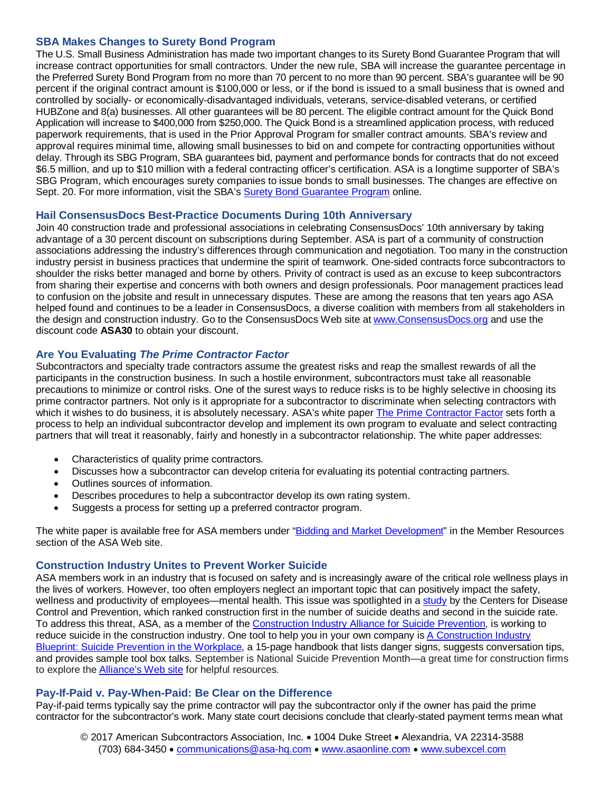## **SBA Makes Changes to Surety Bond Program**

The U.S. Small Business Administration has made two important changes to its Surety Bond Guarantee Program that will increase contract opportunities for small contractors. Under the new rule, SBA will increase the guarantee percentage in the Preferred Surety Bond Program from no more than 70 percent to no more than 90 percent. SBA's guarantee will be 90 percent if the original contract amount is \$100,000 or less, or if the bond is issued to a small business that is owned and controlled by socially- or economically-disadvantaged individuals, veterans, service-disabled veterans, or certified HUBZone and 8(a) businesses. All other guarantees will be 80 percent. The eligible contract amount for the Quick Bond Application will increase to \$400,000 from \$250,000. The Quick Bond is a streamlined application process, with reduced paperwork requirements, that is used in the Prior Approval Program for smaller contract amounts. SBA's review and approval requires minimal time, allowing small businesses to bid on and compete for contracting opportunities without delay. Through its SBG Program, SBA guarantees bid, payment and performance bonds for contracts that do not exceed \$6.5 million, and up to \$10 million with a federal contracting officer's certification. ASA is a longtime supporter of SBA's SBG Program, which encourages surety companies to issue bonds to small businesses. The changes are effective on Sept. 20. For more information, visit the SBA's [Surety Bond Guarantee Program](http://www.sba.gov/surety-bonds) online.

### **Hail ConsensusDocs Best-Practice Documents During 10th Anniversary**

Join 40 construction trade and professional associations in celebrating ConsensusDocs' 10th anniversary by taking advantage of a 30 percent discount on subscriptions during September. ASA is part of a community of construction associations addressing the industry's differences through communication and negotiation. Too many in the construction industry persist in business practices that undermine the spirit of teamwork. One-sided contracts force subcontractors to shoulder the risks better managed and borne by others. Privity of contract is used as an excuse to keep subcontractors from sharing their expertise and concerns with both owners and design professionals. Poor management practices lead to confusion on the jobsite and result in unnecessary disputes. These are among the reasons that ten years ago ASA helped found and continues to be a leader in ConsensusDocs, a diverse coalition with members from all stakeholders in the design and construction industry. Go to the ConsensusDocs Web site at [www.ConsensusDocs.org](http://www.consensusdocs.org/) and use the discount code **ASA30** to obtain your discount.

### **Are You Evaluating** *The Prime Contractor Factor*

Subcontractors and specialty trade contractors assume the greatest risks and reap the smallest rewards of all the participants in the construction business. In such a hostile environment, subcontractors must take all reasonable precautions to minimize or control risks. One of the surest ways to reduce risks is to be highly selective in choosing its prime contractor partners. Not only is it appropriate for a subcontractor to discriminate when selecting contractors with which it wishes to do business, it is absolutely necessary. ASA's white paper [The Prime Contractor Factor](https://www.asaonline.com/eweb/upload/The%20Prime%20Contractor%20Factor%2016-09-15.pdf) sets forth a process to help an individual subcontractor develop and implement its own program to evaluate and select contracting partners that will treat it reasonably, fairly and honestly in a subcontractor relationship. The white paper addresses:

- Characteristics of quality prime contractors.
- Discusses how a subcontractor can develop criteria for evaluating its potential contracting partners.
- Outlines sources of information.
- Describes procedures to help a subcontractor develop its own rating system.
- Suggests a process for setting up a preferred contractor program.

The white paper is available free for ASA members under ["Bidding and Market Development"](http://bit.ly/2cbYA2S) in the Member Resources section of the ASA Web site.

#### **Construction Industry Unites to Prevent Worker Suicide**

ASA members work in an industry that is focused on safety and is increasingly aware of the critical role wellness plays in the lives of workers. However, too often employers neglect an important topic that can positively impact the safety, wellness and productivity of employees—mental health. This issue was spotlighted in a [study](http://bit.ly/2jNFnt6) by the Centers for Disease Control and Prevention, which ranked construction first in the number of suicide deaths and second in the suicide rate. To address this threat, ASA, as a member of the [Construction Industry Alliance for Suicide Prevention,](http://bit.ly/2f3Gxgh) is working to reduce suicide in the construction industry. One tool to help you in your own company is [A Construction Industry](http://bit.ly/2xQXyWa)  [Blueprint: Suicide Prevention in the Workplace,](http://bit.ly/2xQXyWa) a 15-page handbook that lists danger signs, suggests conversation tips, and provides sample tool box talks. September is National Suicide Prevention Month—a great time for construction firms to explore the [Alliance's Web site](http://bit.ly/2f3Gxgh) for helpful resources.

#### **Pay-If-Paid v. Pay-When-Paid: Be Clear on the Difference**

Pay-if-paid terms typically say the prime contractor will pay the subcontractor only if the owner has paid the prime contractor for the subcontractor's work. Many state court decisions conclude that clearly-stated payment terms mean what

© 2017 American Subcontractors Association, Inc. • 1004 Duke Street • Alexandria, VA 22314-3588 (703) 684-3450 • [communications@asa-hq.com](mailto:communications@asa-hq.com) • [www.asaonline.com](http://www.asaonline.com/) • [www.subexcel.com](http://www.subexcel.com/)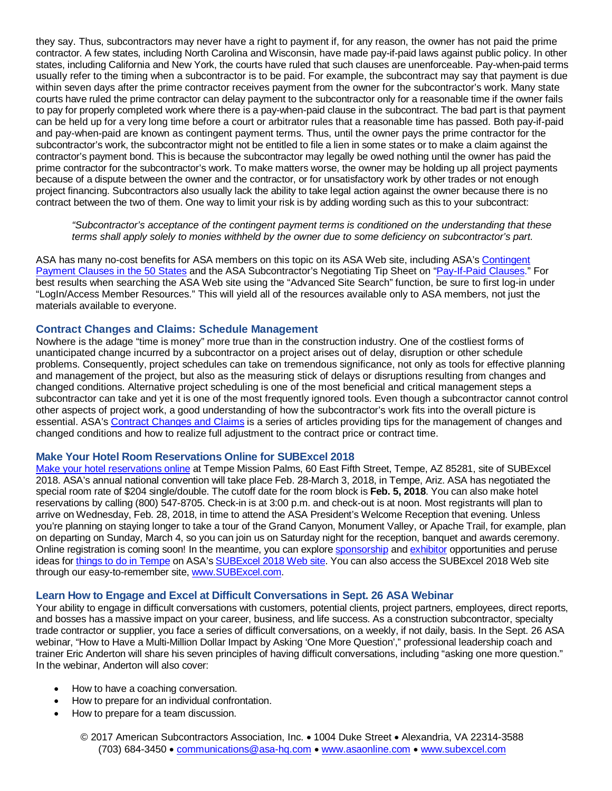they say. Thus, subcontractors may never have a right to payment if, for any reason, the owner has not paid the prime contractor. A few states, including North Carolina and Wisconsin, have made pay-if-paid laws against public policy. In other states, including California and New York, the courts have ruled that such clauses are unenforceable. Pay-when-paid terms usually refer to the timing when a subcontractor is to be paid. For example, the subcontract may say that payment is due within seven days after the prime contractor receives payment from the owner for the subcontractor's work. Many state courts have ruled the prime contractor can delay payment to the subcontractor only for a reasonable time if the owner fails to pay for properly completed work where there is a pay-when-paid clause in the subcontract. The bad part is that payment can be held up for a very long time before a court or arbitrator rules that a reasonable time has passed. Both pay-if-paid and pay-when-paid are known as contingent payment terms. Thus, until the owner pays the prime contractor for the subcontractor's work, the subcontractor might not be entitled to file a lien in some states or to make a claim against the contractor's payment bond. This is because the subcontractor may legally be owed nothing until the owner has paid the prime contractor for the subcontractor's work. To make matters worse, the owner may be holding up all project payments because of a dispute between the owner and the contractor, or for unsatisfactory work by other trades or not enough project financing. Subcontractors also usually lack the ability to take legal action against the owner because there is no contract between the two of them. One way to limit your risk is by adding wording such as this to your subcontract:

*"Subcontractor's acceptance of the contingent payment terms is conditioned on the understanding that these terms shall apply solely to monies withheld by the owner due to some deficiency on subcontractor's part.*

ASA has many no-cost benefits for ASA members on this topic on its ASA Web site, including ASA's [Contingent](http://bit.ly/2owsnLy)  [Payment Clauses in the 50 States](http://bit.ly/2owsnLy) and the ASA Subcontractor's Negotiating Tip Sheet on ["Pay-If-Paid Clauses.](http://bit.ly/1Op9WKl)" For best results when searching the ASA Web site using the "Advanced Site Search" function, be sure to first log-in under "LogIn/Access Member Resources." This will yield all of the resources available only to ASA members, not just the materials available to everyone.

### **Contract Changes and Claims: Schedule Management**

Nowhere is the adage "time is money" more true than in the construction industry. One of the costliest forms of unanticipated change incurred by a subcontractor on a project arises out of delay, disruption or other schedule problems. Consequently, project schedules can take on tremendous significance, not only as tools for effective planning and management of the project, but also as the measuring stick of delays or disruptions resulting from changes and changed conditions. Alternative project scheduling is one of the most beneficial and critical management steps a subcontractor can take and yet it is one of the most frequently ignored tools. Even though a subcontractor cannot control other aspects of project work, a good understanding of how the subcontractor's work fits into the overall picture is essential. ASA's [Contract Changes and Claims](http://bit.ly/1CRsZuK) is a series of articles providing tips for the management of changes and changed conditions and how to realize full adjustment to the contract price or contract time.

#### **Make Your Hotel Room Reservations Online for SUBExcel 2018**

[Make your hotel reservations online](http://bit.ly/2j4xjox) at Tempe Mission Palms, 60 East Fifth Street, Tempe, AZ 85281, site of SUBExcel 2018. ASA's annual national convention will take place Feb. 28-March 3, 2018, in Tempe, Ariz. ASA has negotiated the special room rate of \$204 single/double. The cutoff date for the room block is **Feb. 5, 2018**. You can also make hotel reservations by calling (800) 547-8705. Check-in is at 3:00 p.m. and check-out is at noon. Most registrants will plan to arrive on Wednesday, Feb. 28, 2018, in time to attend the ASA President's Welcome Reception that evening. Unless you're planning on staying longer to take a tour of the Grand Canyon, Monument Valley, or Apache Trail, for example, plan on departing on Sunday, March 4, so you can join us on Saturday night for the reception, banquet and awards ceremony. Online registration is coming soon! In the meantime, you can explore [sponsorship](http://bit.ly/2h4NxK6) an[d exhibitor](http://bit.ly/2y8N4hz) opportunities and peruse ideas for [things to do in Tempe](http://bit.ly/2xlqgNF) on ASA's [SUBExcel 2018 Web site.](http://bit.ly/2w8y1XQ) You can also access the SUBExcel 2018 Web site through our easy-to-remember site, [www.SUBExcel.com.](http://www.subexcel.com/)

## **Learn How to Engage and Excel at Difficult Conversations in Sept. 26 ASA Webinar**

Your ability to engage in difficult conversations with customers, potential clients, project partners, employees, direct reports, and bosses has a massive impact on your career, business, and life success. As a construction subcontractor, specialty trade contractor or supplier, you face a series of difficult conversations, on a weekly, if not daily, basis. In the Sept. 26 ASA webinar, "How to Have a Multi-Million Dollar Impact by Asking 'One More Question'," professional leadership coach and trainer Eric Anderton will share his seven principles of having difficult conversations, including "asking one more question." In the webinar, Anderton will also cover:

- How to have a coaching conversation.
- How to prepare for an individual confrontation.
- How to prepare for a team discussion.

© 2017 American Subcontractors Association, Inc. • 1004 Duke Street • Alexandria, VA 22314-3588 (703) 684-3450 • [communications@asa-hq.com](mailto:communications@asa-hq.com) • [www.asaonline.com](http://www.asaonline.com/) • [www.subexcel.com](http://www.subexcel.com/)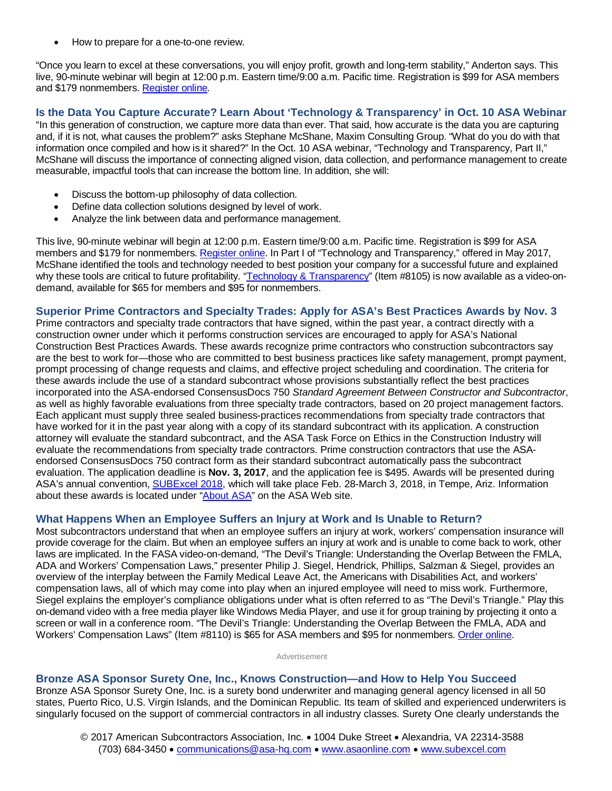• How to prepare for a one-to-one review.

"Once you learn to excel at these conversations, you will enjoy profit, growth and long-term stability," Anderton says. This live, 90-minute webinar will begin at 12:00 p.m. Eastern time/9:00 a.m. Pacific time. Registration is \$99 for ASA members and \$179 nonmembers. [Register online.](http://bit.ly/2xq3wst)

# **Is the Data You Capture Accurate? Learn About 'Technology & Transparency' in Oct. 10 ASA Webinar**

"In this generation of construction, we capture more data than ever. That said, how accurate is the data you are capturing and, if it is not, what causes the problem?" asks Stephane McShane, Maxim Consulting Group. "What do you do with that information once compiled and how is it shared?" In the Oct. 10 ASA webinar, "Technology and Transparency, Part II," McShane will discuss the importance of connecting aligned vision, data collection, and performance management to create measurable, impactful tools that can increase the bottom line. In addition, she will:

- Discuss the bottom-up philosophy of data collection.
- Define data collection solutions designed by level of work.
- Analyze the link between data and performance management.

This live, 90-minute webinar will begin at 12:00 p.m. Eastern time/9:00 a.m. Pacific time. Registration is \$99 for ASA members and \$179 for nonmembers. [Register online.](http://bit.ly/2fvlPG8) In Part I of "Technology and Transparency," offered in May 2017, McShane identified the tools and technology needed to best position your company for a successful future and explained why these tools are critical to future profitability. ["Technology & Transparency"](http://bit.ly/2ya7num) (Item #8105) is now available as a video-ondemand, available for \$65 for members and \$95 for nonmembers.

## **Superior Prime Contractors and Specialty Trades: Apply for ASA's Best Practices Awards by Nov. 3**

Prime contractors and specialty trade contractors that have signed, within the past year, a contract directly with a construction owner under which it performs construction services are encouraged to apply for ASA's National Construction Best Practices Awards. These awards recognize prime contractors who construction subcontractors say are the best to work for—those who are committed to best business practices like safety management, prompt payment, prompt processing of change requests and claims, and effective project scheduling and coordination. The criteria for these awards include the use of a standard subcontract whose provisions substantially reflect the best practices incorporated into the ASA-endorsed ConsensusDocs 750 *Standard Agreement Between Constructor and Subcontractor*, as well as highly favorable evaluations from three specialty trade contractors, based on 20 project management factors. Each applicant must supply three sealed business-practices recommendations from specialty trade contractors that have worked for it in the past year along with a copy of its standard subcontract with its application. A construction attorney will evaluate the standard subcontract, and the ASA Task Force on Ethics in the Construction Industry will evaluate the recommendations from specialty trade contractors. Prime construction contractors that use the ASAendorsed ConsensusDocs 750 contract form as their standard subcontract automatically pass the subcontract evaluation. The application deadline is **Nov. 3, 2017**, and the application fee is \$495. Awards will be presented during ASA's annual convention[, SUBExcel 2018,](http://bit.ly/2w8y1XQ) which will take place Feb. 28-March 3, 2018, in Tempe, Ariz. Information about these awards is located under ["About ASA"](http://bit.ly/2uv3Jx3) on the ASA Web site.

#### **What Happens When an Employee Suffers an Injury at Work and Is Unable to Return?**

Most subcontractors understand that when an employee suffers an injury at work, workers' compensation insurance will provide coverage for the claim. But when an employee suffers an injury at work and is unable to come back to work, other laws are implicated. In the FASA video-on-demand, "The Devil's Triangle: Understanding the Overlap Between the FMLA, ADA and Workers' Compensation Laws," presenter Philip J. Siegel, Hendrick, Phillips, Salzman & Siegel, provides an overview of the interplay between the Family Medical Leave Act, the Americans with Disabilities Act, and workers' compensation laws, all of which may come into play when an injured employee will need to miss work. Furthermore, Siegel explains the employer's compliance obligations under what is often referred to as "The Devil's Triangle." Play this on-demand video with a free media player like Windows Media Player, and use it for group training by projecting it onto a screen or wall in a conference room. "The Devil's Triangle: Understanding the Overlap Between the FMLA, ADA and Workers' Compensation Laws" (Item #8110) is \$65 for ASA members and \$95 for nonmembers. [Order online.](http://bit.ly/2wF1N24)

Advertisement

#### **Bronze ASA Sponsor Surety One, Inc., Knows Construction—and How to Help You Succeed**

Bronze ASA Sponsor Surety One, Inc. is a surety bond underwriter and managing general agency licensed in all 50 states, Puerto Rico, U.S. Virgin Islands, and the Dominican Republic. Its team of skilled and experienced underwriters is singularly focused on the support of commercial contractors in all industry classes. Surety One clearly understands the